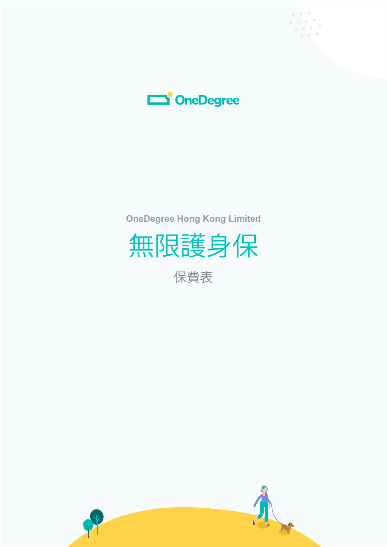



**OneDegree Hong Kong Limited**



保費表

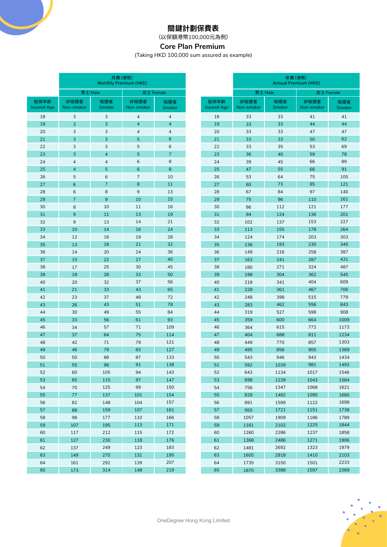## **關鍵計劃保費表**

(以保額港幣100,000元為例)

## **Core Plan Premium**

(Taking HKD 100,000 sum assured as example)

(HKD)

非吸煙者 -smoke

女士 Female

吸煙者 Smoker

|                            |                    |                          | 月費(港幣)<br>Monthly Premium (HKD) |                |  |                            | 年費(港幣)<br><b>Annual Premium (HKD</b> |                      |                |  |
|----------------------------|--------------------|--------------------------|---------------------------------|----------------|--|----------------------------|--------------------------------------|----------------------|----------------|--|
|                            |                    | 男士 Male                  |                                 | 女士 Female      |  |                            | 男士 Male                              |                      |                |  |
| 投保年齡<br><b>Insured Age</b> | 非吸煙者<br>Non-smoker | 吸煙者<br>Smoker            | 非吸煙者<br>Non-smoker              | 吸煙者<br>Smoker  |  | 投保年齡<br><b>Insured Age</b> | 非吸煙者<br>Non-smoker                   | 吸煙者<br><b>Smoker</b> | 非吸煙<br>Non-smo |  |
| 18                         | 3                  | 3                        | $\sqrt{4}$                      | $\sqrt{4}$     |  | 18                         | 33                                   | 33                   | 41             |  |
| 19                         | 3                  | 3                        | $\overline{4}$                  | $\overline{4}$ |  | 19                         | 33                                   | 33                   | 44             |  |
| 20                         | 3                  | 3                        | $\sqrt{4}$                      | $\overline{4}$ |  | 20                         | 33                                   | 33                   | 47             |  |
| 21                         | 3                  | 3                        | 5                               | 6              |  | 21                         | 33                                   | 33                   | 50             |  |
| 22                         | 3                  | 3                        | 5                               | 6              |  | 22                         | 33                                   | 35                   | 53             |  |
| 23                         | 3                  | $\overline{\mathcal{A}}$ | 5                               | $\overline{7}$ |  | 23                         | 36                                   | 40                   | 59             |  |
| 24                         | $\overline{4}$     | $\overline{4}$           | 6                               | 8              |  | 24                         | 39                                   | 45                   | 66             |  |
| 25                         | $\overline{4}$     | 5                        | 6                               | 8              |  | 25                         | 47                                   | 55                   | 66             |  |
| 26                         | 5                  | 6                        | 7                               | 10             |  | 26                         | 53                                   | 64                   | 75             |  |
| 27                         | 6                  | $\overline{7}$           | 8                               | 11             |  | 27                         | 60                                   | 73                   | 85             |  |
| 28                         | 6                  | 8                        | $9\,$                           | 13             |  | 28                         | 67                                   | 84                   | 97             |  |
| 29                         | $\overline{7}$     | 9                        | 10                              | 15             |  | 29                         | 75                                   | 96                   | 110            |  |
| 30                         | 8                  | 10                       | 11                              | 16             |  | 30                         | 86                                   | 112                  | 121            |  |
| 31                         | 9                  | 11                       | 13                              | 19             |  | 31                         | 94                                   | 124                  | 136            |  |
| 32                         | 9                  | 13                       | 14                              | 21             |  | 32                         | 102                                  | 137                  | 153            |  |
| 33                         | 10                 | 14                       | 16                              | 24             |  | 33                         | 113                                  | 155                  | 178            |  |
| 34                         | 12                 | 16                       | 19                              | 28             |  | 34                         | 124                                  | 174                  | 203            |  |
| 35                         | 13                 | 18                       | 21                              | 32             |  | 35                         | 136                                  | 193                  | 230            |  |
| 36                         | 14                 | 20                       | 24                              | 36             |  | 36                         | 149                                  | 216                  | 258            |  |
| 37                         | 15                 | 22                       | 27                              | 40             |  | 37                         | 163                                  | 241                  | 287            |  |
| 38                         | 17                 | 25                       | 30                              | 45             |  | 38                         | 180                                  | 271                  | 324            |  |
| 39                         | 18                 | 28                       | 33                              | 50             |  | 39                         | 198                                  | 304                  | 362            |  |
| 40                         | 20                 | 32                       | 37                              | 56             |  | 40                         | 218                                  | 341                  | 404            |  |
| 41                         | 21                 | 33                       | 43                              | 65             |  | 41                         | 228                                  | 361                  | 467            |  |
| 42                         | 23                 | 37                       | 48                              | 72             |  | 42                         | 248                                  | 398                  | 515            |  |
| 43                         | 26                 | 43                       | 51                              | 78             |  | 43                         | 283                                  | 462                  | 556            |  |
| 44                         | 30                 | 49                       | 55                              | 84             |  | 44                         | 319                                  | 527                  | 598            |  |
| 45                         | 33                 | 56                       | 61                              | 93             |  | 45                         | 359                                  | 600                  | 664            |  |
| 46                         | 34                 | 57                       | 71                              | 109            |  | 46                         | 364                                  | 615                  | 772            |  |
| 47                         | 37                 | 64                       | 75                              | 114            |  | 47                         | 404                                  | 688                  | 811            |  |
| 48                         | 42                 | 71                       | 79                              | 121            |  | 48                         | 449                                  | 770                  | 857            |  |
| 49                         | 46                 | 79                       | 83                              | 127            |  | 49                         | 495                                  | 856                  | 900<br>943     |  |
| 50<br>51                   | 50<br>55           | 88<br>96                 | 87<br>91                        | 133<br>138     |  | 50<br>51                   | 543<br>592                           | 946<br>1039          | 981            |  |
|                            |                    |                          |                                 |                |  |                            |                                      |                      |                |  |
| 52<br>53                   | 60<br>65           | 105<br>115               | 94<br>97                        | 143<br>147     |  | 52<br>53                   | 643<br>698                           | 1134<br>1239         | 1017<br>1043   |  |
| 54                         | 70                 | 125                      | 99                              | 150            |  | 54                         | 756                                  | 1347                 | 1068           |  |
| 55                         | 77                 | 137                      | 101                             | 154            |  | 55                         | 828                                  | 1482                 | 1095           |  |
| 56                         | 82                 | 148                      | 104                             | 157            |  | 56                         | 891                                  | 1599                 | 1122           |  |
| 57                         | 88                 | 159                      | 107                             | 161            |  | 57                         | 955                                  | 1721                 | 1151           |  |
| 58                         | 98                 | 177                      | 110                             | 166            |  | 58                         | 1057                                 | 1909                 | 1186           |  |
| 59                         | 107                | 195                      | 113                             | 171            |  | 59                         | 1161                                 | 2102                 | 1225           |  |
| 60                         | 117                | 212                      | 115                             | 172            |  | 60                         | 1260                                 | 2286                 | 1237           |  |
| 61                         | 127                | 230                      | 118                             | 176            |  | 61                         | 1368                                 | 2486                 | 1271           |  |
| 62                         | 137                | 249                      | 123                             | 183            |  | 62                         | 1481                                 | 2692                 | 1323           |  |
| 63                         | 149                | 270                      | 131                             | 195            |  | 63                         | 1605                                 | 2918                 | 1410           |  |
| 64                         | 161                | 292                      | 139                             | 207            |  | 64                         | 1735                                 | 3150                 | 1501           |  |
| 65                         | 173                | 314                      | 148                             | 219            |  | 65                         | 1870                                 | 3388                 | 1597           |  |
|                            |                    |                          |                                 |                |  |                            |                                      |                      |                |  |

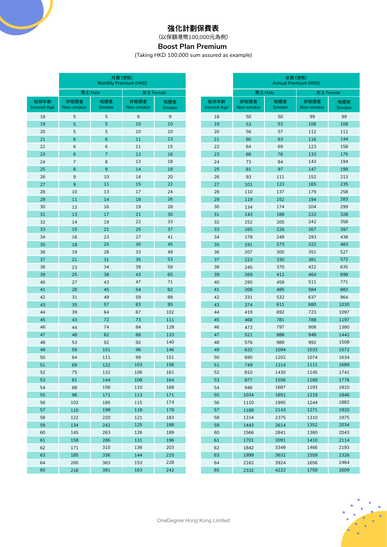## **強化計劃保費表**

(以保額港幣100,000元為例)

# **Boost Plan Premium**

(Taking HKD 100,000 sum assured as example)

|                            |                    | 月費(港幣)<br>Monthly Premium (HKD) |                    |                      |                            | 年費(港幣)<br><b>Annual Premium (HKD)</b> |               |                    |               |
|----------------------------|--------------------|---------------------------------|--------------------|----------------------|----------------------------|---------------------------------------|---------------|--------------------|---------------|
|                            |                    | 男士 Male                         | 女士 Female          |                      |                            | 男士 Male                               |               | 女士 Female          |               |
| 投保年齡<br><b>Insured Age</b> | 非吸煙者<br>Non-smoker | 吸煙者<br>Smoker                   | 非吸煙者<br>Non-smoker | 吸煙者<br><b>Smoker</b> | 投保年齡<br><b>Insured Age</b> | 非吸煙者<br>Non-smoker                    | 吸煙者<br>Smoker | 非吸煙者<br>Non-smoker | 吸煙者<br>Smoker |
| 18                         | 5                  | 5                               | $\overline{9}$     | $\boldsymbol{9}$     | 18                         | 50                                    | 50            | 99                 | 99            |
| 19                         | 5                  | 5                               | 10                 | 10                   | 19                         | 53                                    | 53            | 106                | 106           |
| 20                         | 5                  | 5                               | 10                 | 10                   | 20                         | 56                                    | 57            | 112                | 112           |
| 21                         | $6\phantom{1}6$    | $6\phantom{1}6$                 | 11                 | 13                   | 21                         | 60                                    | 63            | 116                | 144           |
| 22                         | $6\phantom{1}6$    | 6                               | 11                 | 15                   | 22                         | 64                                    | 69            | 123                | 158           |
| 23                         | $6\phantom{1}6$    | $\overline{7}$                  | 12                 | 16                   | 23                         | 68                                    | 76            | 133                | 175           |
| 24                         | $\overline{7}$     | 8                               | 13                 | 18                   | 24                         | 73                                    | 84            | 143                | 194           |
| 25                         | 8                  | 9                               | 14                 | 18                   | 25                         | 81                                    | 97            | 147                | 199           |
| 26                         | 9                  | 10                              | 14                 | 20                   | 26                         | 93                                    | 111           | 152                | 213           |
| 27                         | $\overline{9}$     | 11                              | 15                 | 22                   | 27                         | 101                                   | 123           | 165                | 235           |
| 28                         | 10                 | 13                              | 17                 | 24                   | 28                         | 110                                   | 137           | 179                | 258           |
| 29                         | 11                 | 14                              | 18                 | 26                   | 29                         | 119                                   | 152           | 194                | 283           |
| 30                         | 12                 | 16                              | 19                 | 28                   | 30                         | 134                                   | 174           | 204                | 299           |
| 31                         | 13                 | 17                              | 21                 | 30                   | 31                         | 143                                   | 189           | 222                | 328           |
| 32                         | 14                 | 19                              | 22                 | 33                   | 32                         | 152                                   | 205           | 242                | 358           |
| 33                         | 15                 | 21                              | 25                 | 37                   | 33                         | 165                                   | 226           | 267                | 397           |
| 34                         | 16                 | 23                              | 27                 | 41                   | 34                         | 178                                   | 249           | 293                | 438           |
| 35                         | 18                 | 25                              | 30                 | 45                   | 35                         | 191                                   | 273           | 322                | 483           |
| 36                         | 19                 | 28                              | 33                 | 49                   | 36                         | 207                                   | 300           | 351                | 527           |
| 37                         | 21                 | 31                              | 35                 | 53                   | 37                         | 223                                   | 330           | 381                | 572           |
| 38                         | 23                 | 34                              | 39                 | 59                   | 38                         | 245                                   | 370           | 422                | 635           |
| 39                         | 25                 | 38                              | 43                 | 65                   | 39                         | 269                                   | 412           | 464                | 699           |
| 40                         | 27                 | 43                              | 47                 | 71                   | 40                         | 295                                   | 459           | 511                | 771           |
| 41                         | 28                 | 45                              | 54                 | 82                   | 41                         | 306                                   | 485           | 584                | 883           |
| 42                         | 31                 | 49                              | 59                 | 89                   | 42                         | 331                                   | 532           | 637                | 964           |
| 43                         | 35                 | 57                              | 63                 | 95                   | 43                         | 374                                   | 611           | 680                | 1030          |
| 44                         | 39                 | 64                              | 67                 | 102                  | 44                         | 419                                   | 692           | 723                | 1097          |
| 45                         | 43                 | 72                              | 73                 | 111                  | 45                         | 468                                   | 781           | 788                | 1197          |
| 46                         | 44                 | 74                              | 84                 | 128                  | 46                         | 473                                   | 797           | 908                | 1380          |
| 47                         | 48                 | 82                              | 88                 | 133                  | 47                         | 521                                   | 888           | 948                | 1442          |
| 48                         | 53                 | 92                              | 92                 | 140                  | 48                         | 576                                   | 989           | 992                | 1508          |
| 49                         | 59                 | 101                             | 96                 | 146                  | 49                         | 632                                   | 1094          | 1033               | 1572          |
| 50                         | 64                 | 111                             | 99                 | 151                  | 50                         | 690                                   | 1202          | 1074               | 1634          |
| 51                         | 69                 | 122                             | 103                | 156                  | 51                         | 749                                   | 1314          | 1111               | 1689          |
| 52                         | 75                 | 132                             | 106                | 161                  | 52                         | 810                                   | 1430          | 1145               | 1741          |
| 53                         | 81                 | 144                             | 108                | 164                  | 53                         | 877                                   | 1556          | 1169               | 1776          |
| 54                         | 88                 | 156                             | 110                | 168                  | 54                         | 946                                   | 1687          | 1193               | 1810          |
| 55                         | 96                 | 171                             | 113                | 171                  | 55                         | 1034                                  | 1851          | 1219               | 1846          |
| 56                         | 103                | 185                             | 115                | 174                  | 56                         | 1110                                  | 1995          | 1244               | 1882          |
| 57                         | 110                | 198                             | 118                | 178                  | 57                         | 1189                                  | 2143          | 1271               | 1920          |
| 58                         | 122                | 220                             | 121                | 183                  | 58                         | 1314                                  | 2375          | 1310               | 1975          |
| 59                         | 134                | 242                             | 125                | 188                  | 59                         | 1443                                  | 2614          | 1352               | 2034          |
| 60                         | 145                | 263                             | 126                | 189                  | 60                         | 1566                                  | 2841          | 1360               | 2043          |
| 61                         | 158                | 286                             | 131                | 196                  | 61                         | 1701                                  | 3091          | 1410               | 2114          |
| 62                         | 171                | 310                             | 136                | 203                  | 62                         | 1842                                  | 3348          | 1466               | 2193          |
| 63                         | 185                | 336                             | 144                | 215                  | 63                         | 1999                                  | 3632          | 1559               | 2326          |
| 64                         | 200                | 363                             | 153                | 228                  | 64                         | 2162                                  | 3924          | 1656               | 2464          |
| 65                         | 216                | 391                             | 163                | 242                  | 65                         | 2332                                  | 4222          | 1759               | 2609          |

E

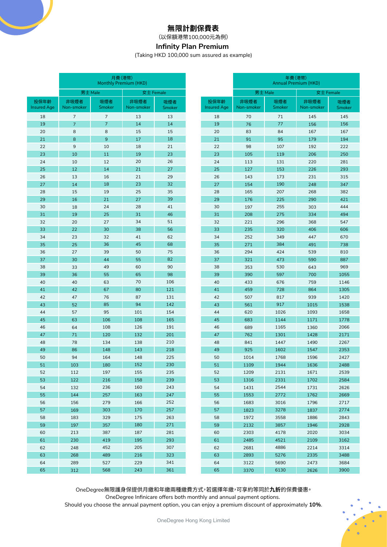## **無限計劃保費表**

(以保額港幣100,000元為例)

# **Infinity Plan Premium**

(Taking HKD 100,000 sum assured as example)

|                            |                    | 月費(港幣)<br>Monthly Premium (HKD) |                    |               |                            | 年費(港幣)<br><b>Annual Premium (HKD)</b> |               |                    |                      |
|----------------------------|--------------------|---------------------------------|--------------------|---------------|----------------------------|---------------------------------------|---------------|--------------------|----------------------|
|                            | 男士 Male            |                                 | 女士 Female          |               |                            | 男士 Male                               |               | 女士 Female          |                      |
| 投保年齡<br><b>Insured Age</b> | 非吸煙者<br>Non-smoker | 吸煙者<br>Smoker                   | 非吸煙者<br>Non-smoker | 吸煙者<br>Smoker | 投保年齡<br><b>Insured Age</b> | 非吸煙者<br>Non-smoker                    | 吸煙者<br>Smoker | 非吸煙者<br>Non-smoker | 吸煙者<br><b>Smoker</b> |
| 18                         | $\overline{7}$     | $\overline{7}$                  | 13                 | 13            | 18                         | 70                                    | 71            | 145                | 145                  |
| 19                         | $\overline{7}$     | $\overline{7}$                  | 14                 | 14            | 19                         | 76                                    | 77            | 156                | 156                  |
| 20                         | 8                  | 8                               | 15                 | 15            | 20                         | 83                                    | 84            | 167                | 167                  |
| 21                         | 8                  | 9                               | 17                 | 18            | 21                         | 91                                    | 95            | 179                | 194                  |
| 22                         | 9                  | 10                              | 18                 | 21            | 22                         | 98                                    | 107           | 192                | 222                  |
| 23                         | 10                 | 11                              | 19                 | 23            | 23                         | 105                                   | 119           | 206                | 250                  |
| 24                         | 10                 | 12                              | 20                 | 26            | 24                         | 113                                   | 131           | 220                | 281                  |
| 25                         | 12                 | 14                              | 21                 | 27            | 25                         | 127                                   | 153           | 226                | 293                  |
| 26                         | 13                 | 16                              | 21                 | 29            | 26                         | 143                                   | 173           | 231                | 315                  |
| 27                         | 14                 | 18                              | 23                 | 32            | 27                         | 154                                   | 190           | 248                | 347                  |
| 28                         | 15                 | 19                              | 25                 | 35            | 28                         | 165                                   | 207           | 268                | 382                  |
| 29                         | 16                 | 21                              | 27                 | 39            | 29                         | 176                                   | 225           | 290                | 421                  |
| 30                         | 18                 | 24                              | 28                 | 41            | 30                         | 197                                   | 255           | 303                | 444                  |
| 31                         | 19                 | 25                              | 31                 | 46            | 31                         | 208                                   | 275           | 334                | 494                  |
| 32                         | 20                 | 27                              | 34                 | 51            | 32                         | 221                                   | 296           | 368                | 547                  |
| 33                         | 22                 | 30                              | 38                 | 56            | 33                         | 235                                   | 320           | 406                | 606                  |
| 34                         | 23                 | 32                              | 41                 | 62            | 34                         | 252                                   | 349           | 447                | 670                  |
| 35                         | 25                 | 36                              | 45                 | 68            | 35                         | 271                                   | 384           | 491                | 738                  |
| 36                         | 27                 | 39                              | 50                 | 75            | 36                         | 294                                   | 424           | 539                | 810                  |
| 37                         | 30                 | 44                              | 55                 | 82            | 37                         | 321                                   | 473           | 590                | 887                  |
| 38                         | 33                 | 49                              | 60                 | 90            | 38                         | 353                                   | 530           | 643                | 969                  |
| 39                         | 36                 | 55                              | 65                 | 98            | 39                         | 390                                   | 597           | 700                | 1055                 |
| 40                         | 40                 | 63                              | 70                 | 106           | 40                         | 433                                   | 676           | 759                | 1146                 |
| 41                         | 42                 | 67                              | 80                 | 121           | 41                         | 459                                   | 728           | 864                | 1305                 |
| 42                         | 47                 | 76                              | 87                 | 131           | 42                         | 507                                   | 817           | 939                | 1420                 |
| 43                         | 52                 | 85                              | 94                 | 142           | 43                         | 561                                   | 917           | 1015               | 1538                 |
| 44                         | 57                 | 95                              | 101<br>108         | 154<br>165    | 44                         | 620                                   | 1026          | 1093               | 1658                 |
| 45                         | 63                 | 106<br>108                      |                    |               | 45                         | 683                                   | 1144          | 1171               | 1778                 |
| 46<br>47                   | 64                 | 120                             | 126<br>132         | 191<br>201    | 46<br>47                   | 689                                   | 1165<br>1301  | 1360               | 2066                 |
| 48                         | 71<br>78           | 134                             | 138                | 210           | 48                         | 762                                   | 1447          | 1428               | 2171<br>2267         |
| 49                         | 86                 | 148                             | 143                | 218           | 49                         | 841<br>925                            | 1602          | 1490<br>1547       | 2353                 |
| 50                         | 94                 | 164                             | 148                | 225           | 50                         | 1014                                  | 1768          | 1596               | 2427                 |
| 51                         | 103                | 180                             | 152                | 230           | 51                         | 1109                                  | 1944          | 1636               | 2488                 |
| 52                         | 112                | 197                             | 155                | 235           | 52                         | 1209                                  | 2131          | 1671               | 2539                 |
| 53                         | 122                | 216                             | 158                | 239           | 53                         | 1316                                  | 2331          | 1702               | 2584                 |
| 54                         | 132                | 236                             | 160                | 243           | 54                         | 1431                                  | 2544          | 1731               | 2626                 |
| 55                         | 144                | 257                             | 163                | 247           | 55                         | 1553                                  | 2772          | 1762               | 2669                 |
| 56                         | 156                | 279                             | 166                | 252           | 56                         | 1683                                  | 3016          | 1796               | 2717                 |
| 57                         | 169                | 303                             | 170                | 257           | 57                         | 1823                                  | 3278          | 1837               | 2774                 |
| 58                         | 183                | 329                             | 175                | 263           | 58                         | 1972                                  | 3558          | 1886               | 2843                 |
| 59                         | 197                | 357                             | 180                | 271           | 59                         | 2132                                  | 3857          | 1946               | 2928                 |
| 60                         | 213                | 387                             | 187                | 281           | 60                         | 2303                                  | 4178          | 2020               | 3034                 |
| 61                         | 230                | 419                             | 195                | 293           | 61                         | 2485                                  | 4521          | 2109               | 3162                 |
| 62                         | 248                | 452                             | 205                | 307           | 62                         | 2681                                  | 4886          | 2214               | 3314                 |
| 63                         | 268                | 489                             | 216                | 323           | 63                         | 2893                                  | 5276          | 2335               | 3488                 |
| 64                         | 289                | 527                             | 229                | 341           | 64                         | 3122                                  | 5690          | 2473               | 3684                 |
| 65                         | 312                | 568                             | 243                | 361           | 65                         | 3370                                  | 6130          | 2626               | 3900                 |

OneDegree無限護身保提供月繳和年繳兩種繳費方式,若選擇年繳,可享約等同於**九折**的保費優惠。

OneDegree Infinicare offers both monthly and annual payment options.

Should you choose the annual payment option, you can enjoy a premium discount of approximately **10%**.